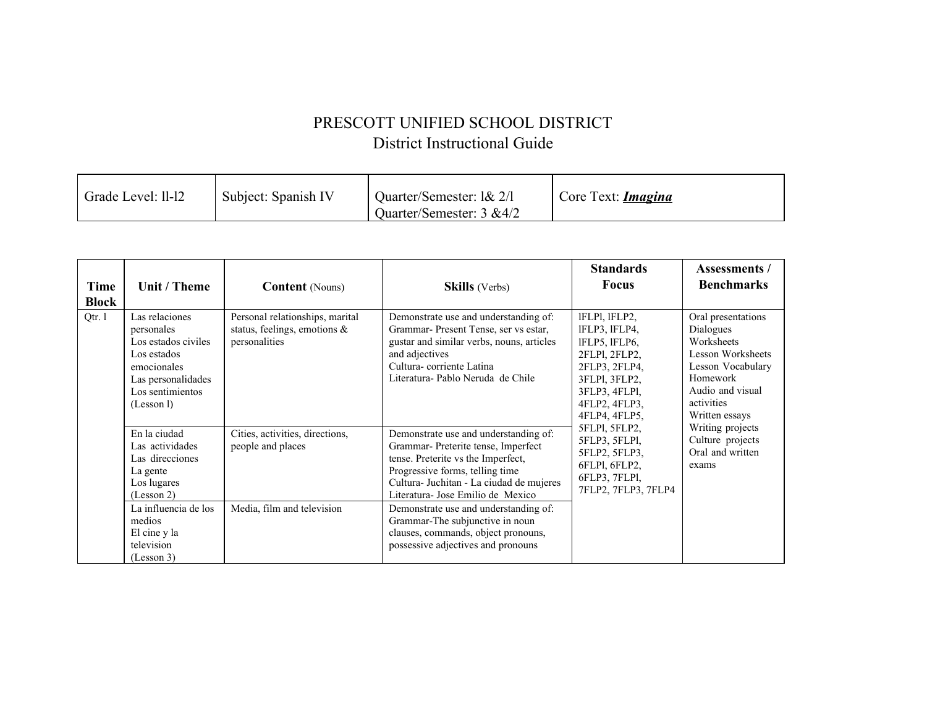## PRESCOTT UNIFIED SCHOOL DISTRICT District Instructional Guide

| Grade Level: 11-12 | Subject: Spanish IV | Quarter/Semester: 1& 2/1<br>Ouarter/Semester: 3 &4/2 | Core Text: <i>Imagina</i> |
|--------------------|---------------------|------------------------------------------------------|---------------------------|
|--------------------|---------------------|------------------------------------------------------|---------------------------|

| <b>Time</b><br><b>Block</b> | Unit / Theme                                                                                                                              | <b>Content</b> (Nouns)                                                              | <b>Skills</b> (Verbs)                                                                                                                                                                                                                                                           | <b>Standards</b><br><b>Focus</b>                                                                                                                                                                                                                                  | Assessments /<br><b>Benchmarks</b>                                                                                                                                                                                           |
|-----------------------------|-------------------------------------------------------------------------------------------------------------------------------------------|-------------------------------------------------------------------------------------|---------------------------------------------------------------------------------------------------------------------------------------------------------------------------------------------------------------------------------------------------------------------------------|-------------------------------------------------------------------------------------------------------------------------------------------------------------------------------------------------------------------------------------------------------------------|------------------------------------------------------------------------------------------------------------------------------------------------------------------------------------------------------------------------------|
| Qtr. 1                      | Las relaciones<br>personales<br>Los estados civiles<br>Los estados<br>emocionales<br>Las personalidades<br>Los sentimientos<br>(Lesson 1) | Personal relationships, marital<br>status, feelings, emotions $\&$<br>personalities | Demonstrate use and understanding of:<br>Grammar- Present Tense, ser vs estar,<br>gustar and similar verbs, nouns, articles<br>and adjectives<br>Cultura-corriente Latina<br>Literatura-Pablo Neruda de Chile                                                                   | IFLPI, IFLP2,<br>IFLP3, IFLP4,<br>IFLP5, IFLP6,<br>2FLPI, 2FLP2,<br>2FLP3, 2FLP4,<br>3FLPI, 3FLP2,<br>3FLP3, 4FLP1,<br>4FLP2, 4FLP3,<br>4FLP4, 4FLP5,<br>5FLPI, 5FLP2,<br>5FLP3, 5FLP1,<br>5FLP2, 5FLP3,<br>6FLPI, 6FLP2,<br>6FLP3, 7FLP1,<br>7FLP2, 7FLP3, 7FLP4 | Oral presentations<br>Dialogues<br>Worksheets<br>Lesson Worksheets<br>Lesson Vocabulary<br>Homework<br>Audio and visual<br>activities<br>Written essays<br>Writing projects<br>Culture projects<br>Oral and written<br>exams |
|                             | En la ciudad<br>Las actividades<br>Las direcciones<br>La gente<br>Los lugares<br>(Lesson 2)<br>La influencia de los                       | Cities, activities, directions,<br>people and places<br>Media, film and television  | Demonstrate use and understanding of:<br>Grammar- Preterite tense, Imperfect<br>tense. Preterite vs the Imperfect,<br>Progressive forms, telling time<br>Cultura- Juchitan - La ciudad de mujeres<br>Literatura- Jose Emilio de Mexico<br>Demonstrate use and understanding of: |                                                                                                                                                                                                                                                                   |                                                                                                                                                                                                                              |
|                             | medios<br>El cine y la<br>television<br>(Lesson 3)                                                                                        |                                                                                     | Grammar-The subjunctive in noun<br>clauses, commands, object pronouns,<br>possessive adjectives and pronouns                                                                                                                                                                    |                                                                                                                                                                                                                                                                   |                                                                                                                                                                                                                              |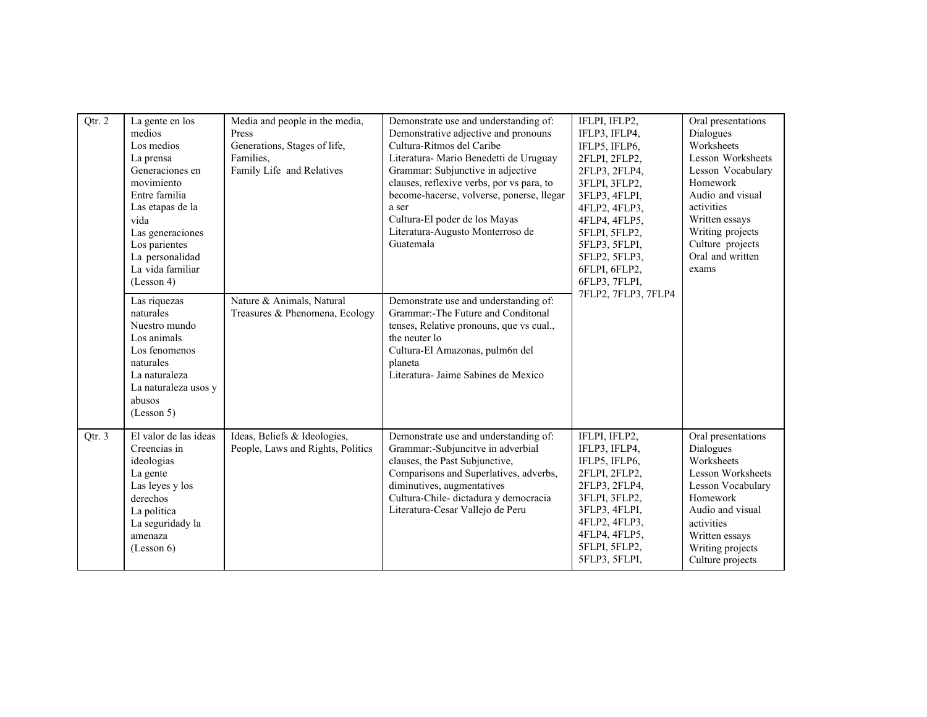| Qtr. 2 | La gente en los<br>medios<br>Los medios<br>La prensa<br>Generaciones en<br>movimiento<br>Entre familia<br>Las etapas de la<br>vida<br>Las generaciones<br>Los parientes<br>La personalidad<br>La vida familiar<br>(Lesson 4)<br>Las riquezas<br>naturales<br>Nuestro mundo<br>Los animals<br>Los fenomenos<br>naturales<br>La naturaleza<br>La naturaleza usos y<br>abusos<br>(Lesson 5) | Media and people in the media,<br>Press<br>Generations, Stages of life,<br>Families.<br>Family Life and Relatives<br>Nature & Animals, Natural<br>Treasures & Phenomena, Ecology | Demonstrate use and understanding of:<br>Demonstrative adjective and pronouns<br>Cultura-Ritmos del Caribe<br>Literatura- Mario Benedetti de Uruguay<br>Grammar: Subjunctive in adjective<br>clauses, reflexive verbs, por vs para, to<br>become-hacerse, volverse, ponerse, llegar<br>a ser<br>Cultura-El poder de los Mayas<br>Literatura-Augusto Monterroso de<br>Guatemala<br>Demonstrate use and understanding of:<br>Grammar:-The Future and Conditonal<br>tenses, Relative pronouns, que vs cual.,<br>the neuter lo<br>Cultura-El Amazonas, pulm6n del<br>planeta<br>Literatura- Jaime Sabines de Mexico | IFLPI, IFLP2,<br>IFLP3, IFLP4,<br>IFLP5, IFLP6,<br>2FLPI, 2FLP2,<br>2FLP3, 2FLP4,<br>3FLPI, 3FLP2,<br>3FLP3, 4FLPI,<br>4FLP2, 4FLP3,<br>4FLP4, 4FLP5,<br>5FLPI, 5FLP2,<br>5FLP3, 5FLPI,<br>5FLP2, 5FLP3,<br>6FLPI, 6FLP2,<br>6FLP3, 7FLPI,<br>7FLP2, 7FLP3, 7FLP4 | Oral presentations<br>Dialogues<br>Worksheets<br>Lesson Worksheets<br>Lesson Vocabulary<br>Homework<br>Audio and visual<br>activities<br>Written essays<br>Writing projects<br>Culture projects<br>Oral and written<br>exams |
|--------|------------------------------------------------------------------------------------------------------------------------------------------------------------------------------------------------------------------------------------------------------------------------------------------------------------------------------------------------------------------------------------------|----------------------------------------------------------------------------------------------------------------------------------------------------------------------------------|-----------------------------------------------------------------------------------------------------------------------------------------------------------------------------------------------------------------------------------------------------------------------------------------------------------------------------------------------------------------------------------------------------------------------------------------------------------------------------------------------------------------------------------------------------------------------------------------------------------------|-------------------------------------------------------------------------------------------------------------------------------------------------------------------------------------------------------------------------------------------------------------------|------------------------------------------------------------------------------------------------------------------------------------------------------------------------------------------------------------------------------|
| Qtr. 3 | El valor de las ideas<br>Creencias in<br>ideologias<br>La gente<br>Las leyes y los<br>derechos<br>La politica<br>La seguridady la<br>amenaza<br>(Lesson 6)                                                                                                                                                                                                                               | Ideas, Beliefs & Ideologies,<br>People, Laws and Rights, Politics                                                                                                                | Demonstrate use and understanding of:<br>Grammar:-Subjuncitve in adverbial<br>clauses, the Past Subjunctive,<br>Comparisons and Superlatives, adverbs,<br>diminutives, augmentatives<br>Cultura-Chile- dictadura y democracia<br>Literatura-Cesar Vallejo de Peru                                                                                                                                                                                                                                                                                                                                               | IFLPI, IFLP2,<br>IFLP3, IFLP4,<br>IFLP5, IFLP6,<br>2FLPI, 2FLP2,<br>2FLP3, 2FLP4,<br>3FLPI, 3FLP2,<br>3FLP3, 4FLPI,<br>4FLP2, 4FLP3,<br>4FLP4, 4FLP5,<br>5FLPI, 5FLP2,<br>5FLP3, 5FLPI,                                                                           | Oral presentations<br>Dialogues<br>Worksheets<br>Lesson Worksheets<br>Lesson Vocabulary<br>Homework<br>Audio and visual<br>activities<br>Written essays<br>Writing projects<br>Culture projects                              |